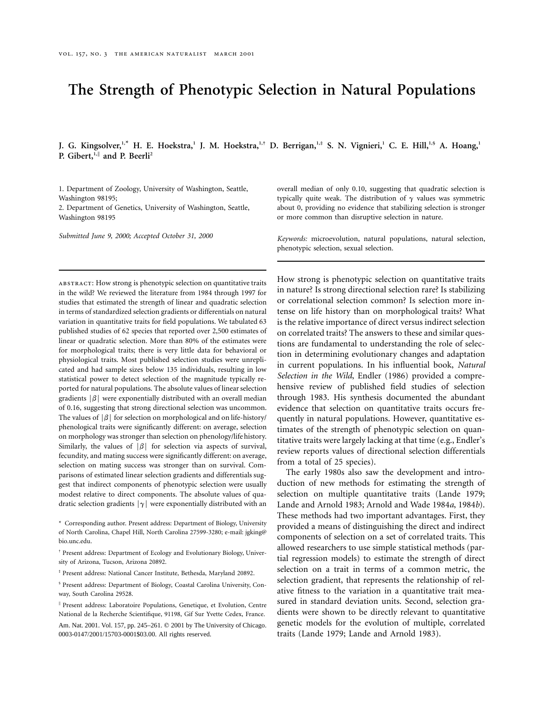# **The Strength of Phenotypic Selection in Natural Populations**

**J. G. Kingsolver,1,\* H. E. Hoekstra,1 J. M. Hoekstra,1,† D. Berrigan,1,‡ S. N. Vignieri,1 C. E. Hill,1,§ A. Hoang,1 P. Gibert,1,**<sup>k</sup> **and P. Beerli<sup>2</sup>**

1. Department of Zoology, University of Washington, Seattle, Washington 98195;

2. Department of Genetics, University of Washington, Seattle, Washington 98195

*Submitted June 9, 2000; Accepted October 31, 2000*

abstract: How strong is phenotypic selection on quantitative traits in the wild? We reviewed the literature from 1984 through 1997 for studies that estimated the strength of linear and quadratic selection in terms of standardized selection gradients or differentials on natural variation in quantitative traits for field populations. We tabulated 63 published studies of 62 species that reported over 2,500 estimates of linear or quadratic selection. More than 80% of the estimates were for morphological traits; there is very little data for behavioral or physiological traits. Most published selection studies were unreplicated and had sample sizes below 135 individuals, resulting in low statistical power to detect selection of the magnitude typically reported for natural populations. The absolute values of linear selection gradients  $|\beta|$  were exponentially distributed with an overall median of 0.16, suggesting that strong directional selection was uncommon. The values of  $|\beta|$  for selection on morphological and on life-history/ phenological traits were significantly different: on average, selection on morphology was stronger than selection on phenology/life history. Similarly, the values of  $|\beta|$  for selection via aspects of survival, fecundity, and mating success were significantly different: on average, selection on mating success was stronger than on survival. Comparisons of estimated linear selection gradients and differentials suggest that indirect components of phenotypic selection were usually modest relative to direct components. The absolute values of quadratic selection gradients  $|\gamma|$  were exponentially distributed with an

\* Corresponding author. Present address: Department of Biology, University of North Carolina, Chapel Hill, North Carolina 27599-3280; e-mail: jgking@ bio.unc.edu.

† Present address: Department of Ecology and Evolutionary Biology, University of Arizona, Tucson, Arizona 20892.

‡ Present address: National Cancer Institute, Bethesda, Maryland 20892.

§ Present address: Department of Biology, Coastal Carolina University, Conway, South Carolina 29528.

Am. Nat. 2001. Vol. 157, pp. 245-261.  $©$  2001 by The University of Chicago. 0003-0147/2001/15703-0001\$03.00. All rights reserved.

overall median of only 0.10, suggesting that quadratic selection is typically quite weak. The distribution of  $\gamma$  values was symmetric about 0, providing no evidence that stabilizing selection is stronger or more common than disruptive selection in nature.

*Keywords:* microevolution, natural populations, natural selection, phenotypic selection, sexual selection.

How strong is phenotypic selection on quantitative traits in nature? Is strong directional selection rare? Is stabilizing or correlational selection common? Is selection more intense on life history than on morphological traits? What is the relative importance of direct versus indirect selection on correlated traits? The answers to these and similar questions are fundamental to understanding the role of selection in determining evolutionary changes and adaptation in current populations. In his influential book, *Natural Selection in the Wild*, Endler (1986) provided a comprehensive review of published field studies of selection through 1983. His synthesis documented the abundant evidence that selection on quantitative traits occurs frequently in natural populations. However, quantitative estimates of the strength of phenotypic selection on quantitative traits were largely lacking at that time (e.g., Endler's review reports values of directional selection differentials from a total of 25 species).

The early 1980s also saw the development and introduction of new methods for estimating the strength of selection on multiple quantitative traits (Lande 1979; Lande and Arnold 1983; Arnold and Wade 1984*a*, 1984*b*). These methods had two important advantages. First, they provided a means of distinguishing the direct and indirect components of selection on a set of correlated traits. This allowed researchers to use simple statistical methods (partial regression models) to estimate the strength of direct selection on a trait in terms of a common metric, the selection gradient, that represents the relationship of relative fitness to the variation in a quantitative trait measured in standard deviation units. Second, selection gradients were shown to be directly relevant to quantitative genetic models for the evolution of multiple, correlated traits (Lande 1979; Lande and Arnold 1983).

Present address: Laboratoire Populations, Genetique, et Evolution, Centre National de la Recherche Scientifique, 91198, Gif Sur Yvette Cedex, France.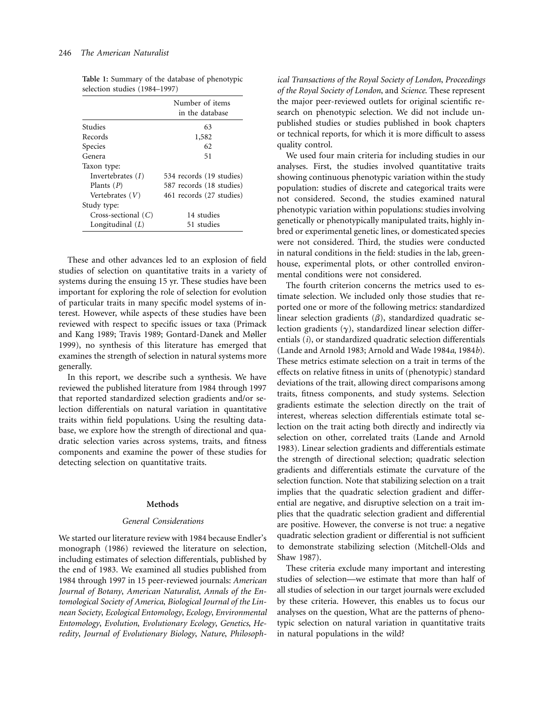|                      | Number of items<br>in the database |  |  |
|----------------------|------------------------------------|--|--|
| Studies              | 63                                 |  |  |
| Records              | 1,582                              |  |  |
| Species              | 62                                 |  |  |
| Genera               | 51                                 |  |  |
| Taxon type:          |                                    |  |  |
| Invertebrates $(I)$  | 534 records (19 studies)           |  |  |
| Plants $(P)$         | 587 records (18 studies)           |  |  |
| Vertebrates $(V)$    | 461 records (27 studies)           |  |  |
| Study type:          |                                    |  |  |
| $Cross-sectional(C)$ | 14 studies                         |  |  |
| Longitudinal $(L)$   | 51 studies                         |  |  |

**Table 1:** Summary of the database of phenotypic selection studies (1984–1997)

These and other advances led to an explosion of field studies of selection on quantitative traits in a variety of systems during the ensuing 15 yr. These studies have been important for exploring the role of selection for evolution of particular traits in many specific model systems of interest. However, while aspects of these studies have been reviewed with respect to specific issues or taxa (Primack and Kang 1989; Travis 1989; Gontard-Danek and Møller 1999), no synthesis of this literature has emerged that examines the strength of selection in natural systems more generally.

In this report, we describe such a synthesis. We have reviewed the published literature from 1984 through 1997 that reported standardized selection gradients and/or selection differentials on natural variation in quantitative traits within field populations. Using the resulting database, we explore how the strength of directional and quadratic selection varies across systems, traits, and fitness components and examine the power of these studies for detecting selection on quantitative traits.

## **Methods**

# *General Considerations*

We started our literature review with 1984 because Endler's monograph (1986) reviewed the literature on selection, including estimates of selection differentials, published by the end of 1983. We examined all studies published from 1984 through 1997 in 15 peer-reviewed journals: *American Journal of Botany*, *American Naturalist*, *Annals of the Entomological Society of America*, *Biological Journal of the Linnean Society*, *Ecological Entomology*, *Ecology*, *Environmental Entomology*, *Evolution*, *Evolutionary Ecology*, *Genetics*, *Heredity*, *Journal of Evolutionary Biology*, *Nature*, *Philosoph-*

*ical Transactions of the Royal Society of London*, *Proceedings of the Royal Society of London*, and *Science*. These represent the major peer-reviewed outlets for original scientific research on phenotypic selection. We did not include unpublished studies or studies published in book chapters or technical reports, for which it is more difficult to assess quality control.

We used four main criteria for including studies in our analyses. First, the studies involved quantitative traits showing continuous phenotypic variation within the study population: studies of discrete and categorical traits were not considered. Second, the studies examined natural phenotypic variation within populations: studies involving genetically or phenotypically manipulated traits, highly inbred or experimental genetic lines, or domesticated species were not considered. Third, the studies were conducted in natural conditions in the field: studies in the lab, greenhouse, experimental plots, or other controlled environmental conditions were not considered.

The fourth criterion concerns the metrics used to estimate selection. We included only those studies that reported one or more of the following metrics: standardized linear selection gradients  $(\beta)$ , standardized quadratic selection gradients  $(\gamma)$ , standardized linear selection differentials (*i*), or standardized quadratic selection differentials (Lande and Arnold 1983; Arnold and Wade 1984*a*, 1984*b*). These metrics estimate selection on a trait in terms of the effects on relative fitness in units of (phenotypic) standard deviations of the trait, allowing direct comparisons among traits, fitness components, and study systems. Selection gradients estimate the selection directly on the trait of interest, whereas selection differentials estimate total selection on the trait acting both directly and indirectly via selection on other, correlated traits (Lande and Arnold 1983). Linear selection gradients and differentials estimate the strength of directional selection; quadratic selection gradients and differentials estimate the curvature of the selection function. Note that stabilizing selection on a trait implies that the quadratic selection gradient and differential are negative, and disruptive selection on a trait implies that the quadratic selection gradient and differential are positive. However, the converse is not true: a negative quadratic selection gradient or differential is not sufficient to demonstrate stabilizing selection (Mitchell-Olds and Shaw 1987).

These criteria exclude many important and interesting studies of selection—we estimate that more than half of all studies of selection in our target journals were excluded by these criteria. However, this enables us to focus our analyses on the question, What are the patterns of phenotypic selection on natural variation in quantitative traits in natural populations in the wild?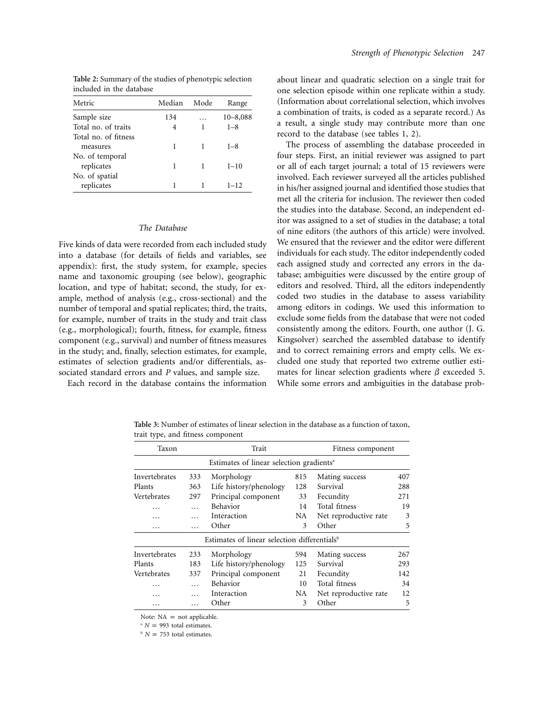| Metric               | Median | Mode | Range        |
|----------------------|--------|------|--------------|
| Sample size          | 134    |      | $10 - 8,088$ |
| Total no. of traits  | 4      |      | $1 - 8$      |
| Total no. of fitness |        |      |              |
| measures             | 1      |      | $1 - 8$      |
| No. of temporal      |        |      |              |
| replicates           | 1      |      | $1 - 10$     |
| No. of spatial       |        |      |              |
| replicates           |        |      | $1 - 12$     |

**Table 2:** Summary of the studies of phenotypic selection included in the database

## *The Database*

Five kinds of data were recorded from each included study into a database (for details of fields and variables, see appendix): first, the study system, for example, species name and taxonomic grouping (see below), geographic location, and type of habitat; second, the study, for example, method of analysis (e.g., cross-sectional) and the number of temporal and spatial replicates; third, the traits, for example, number of traits in the study and trait class (e.g., morphological); fourth, fitness, for example, fitness component (e.g., survival) and number of fitness measures in the study; and, finally, selection estimates, for example, estimates of selection gradients and/or differentials, associated standard errors and *P* values, and sample size.

Each record in the database contains the information

about linear and quadratic selection on a single trait for one selection episode within one replicate within a study. (Information about correlational selection, which involves a combination of traits, is coded as a separate record.) As a result, a single study may contribute more than one record to the database (see tables 1, 2).

The process of assembling the database proceeded in four steps. First, an initial reviewer was assigned to part or all of each target journal; a total of 15 reviewers were involved. Each reviewer surveyed all the articles published in his/her assigned journal and identified those studies that met all the criteria for inclusion. The reviewer then coded the studies into the database. Second, an independent editor was assigned to a set of studies in the database; a total of nine editors (the authors of this article) were involved. We ensured that the reviewer and the editor were different individuals for each study. The editor independently coded each assigned study and corrected any errors in the database; ambiguities were discussed by the entire group of editors and resolved. Third, all the editors independently coded two studies in the database to assess variability among editors in codings. We used this information to exclude some fields from the database that were not coded consistently among the editors. Fourth, one author (J. G. Kingsolver) searched the assembled database to identify and to correct remaining errors and empty cells. We excluded one study that reported two extreme outlier estimates for linear selection gradients where  $\beta$  exceeded 5. While some errors and ambiguities in the database prob-

**Table 3:** Number of estimates of linear selection in the database as a function of taxon, trait type, and fitness component

| Taxon         |                                                      | Trait                                                    |     | Fitness component     |     |
|---------------|------------------------------------------------------|----------------------------------------------------------|-----|-----------------------|-----|
|               | Estimates of linear selection gradients <sup>a</sup> |                                                          |     |                       |     |
| Invertebrates | 333                                                  | Morphology                                               | 815 | Mating success        | 407 |
| Plants        | 363                                                  | Life history/phenology                                   | 128 | Survival              | 288 |
| Vertebrates   | 297                                                  | Principal component                                      | 33  | Fecundity             | 271 |
| .             | $\cdots$                                             | Behavior                                                 | 14  | Total fitness         | 19  |
| .             | .                                                    | Interaction                                              | NA. | Net reproductive rate | 3   |
| .             |                                                      | Other                                                    | 3   | Other                 | 5   |
|               |                                                      | Estimates of linear selection differentials <sup>b</sup> |     |                       |     |
| Invertebrates | 233                                                  | Morphology                                               | 594 | Mating success        | 267 |
| Plants        | 183                                                  | Life history/phenology                                   | 125 | Survival              | 293 |
| Vertebrates   | 337                                                  | Principal component                                      | 21  | Fecundity             | 142 |
| .             | .                                                    | Behavior                                                 | 10  | Total fitness         | 34  |
|               | .                                                    | Interaction                                              | NA. | Net reproductive rate | 12  |
| .             | .                                                    | Other                                                    | 3   | Other                 | 5   |
|               |                                                      |                                                          |     |                       |     |

Note:  $NA = not applicable.$ 

 $N = 993$  total estimates.

 $b N = 753$  total estimates.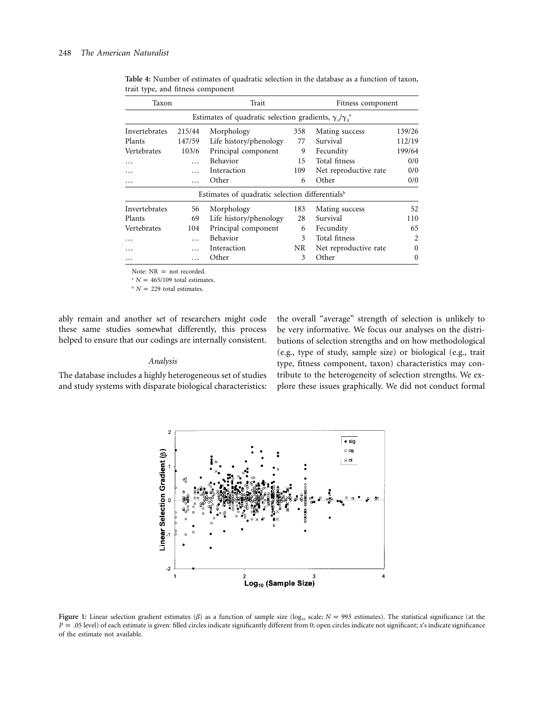| Taxon         |          | Trait                                                                       |           | Fitness component     |          |
|---------------|----------|-----------------------------------------------------------------------------|-----------|-----------------------|----------|
|               |          | Estimates of quadratic selection gradients, $\gamma_{ii}/\gamma_{ii}^{\ a}$ |           |                       |          |
| Invertebrates | 215/44   | Morphology                                                                  | 358       | Mating success        | 139/26   |
| Plants        | 147/59   | Life history/phenology                                                      | 77        | Survival              | 112/19   |
| Vertebrates   | 103/6    | Principal component                                                         | 9         | Fecundity             | 199/64   |
| .             | $\cdots$ | Behavior                                                                    | 15        | Total fitness         | 0/0      |
| .             | $\cdots$ | Interaction                                                                 | 109       | Net reproductive rate | 0/0      |
| .             | .        | Other                                                                       | 6         | Other                 | 0/0      |
|               |          | Estimates of quadratic selection differentials <sup>b</sup>                 |           |                       |          |
| Invertebrates | 56       | Morphology                                                                  | 183       | Mating success        | 52       |
| Plants        | 69       | Life history/phenology                                                      | 28        | Survival              | 110      |
| Vertebrates   | 104      | Principal component                                                         | 6         | Fecundity             | 65       |
| .             | .        | Behavior                                                                    | 3         | Total fitness         | 2        |
| .             | $\cdots$ | Interaction                                                                 | <b>NR</b> | Net reproductive rate | $\Omega$ |
| .             |          | Other                                                                       | 3         | Other                 | $\Omega$ |

**Table 4:** Number of estimates of quadratic selection in the database as a function of taxon, trait type, and fitness component

Note:  $NR = not recorded$ .

 $N = 465/109$  total estimates.

 $b N = 229$  total estimates.

ably remain and another set of researchers might code these same studies somewhat differently, this process helped to ensure that our codings are internally consistent.

## *Analysis*

The database includes a highly heterogeneous set of studies and study systems with disparate biological characteristics: the overall "average" strength of selection is unlikely to be very informative. We focus our analyses on the distributions of selection strengths and on how methodological (e.g., type of study, sample size) or biological (e.g., trait type, fitness component, taxon) characteristics may contribute to the heterogeneity of selection strengths. We explore these issues graphically. We did not conduct formal



**Figure 1:** Linear selection gradient estimates ( $\beta$ ) as a function of sample size (log<sub>10</sub> scale;  $N = 993$  estimates). The statistical significance (at the *P* = .05 level) of each estimate is given: filled circles indicate significantly different from 0; open circles indicate not significant; *x*'s indicate significance of the estimate not available.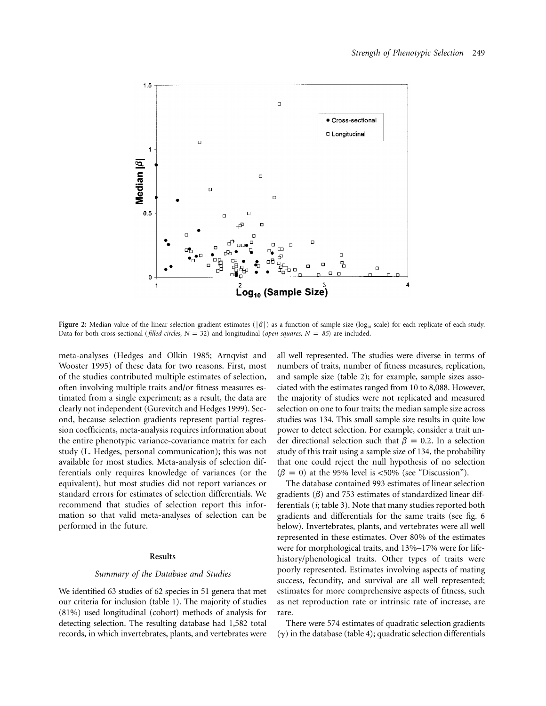

**Figure 2:** Median value of the linear selection gradient estimates ( $|\beta|$ ) as a function of sample size ( $log_{10}$  scale) for each replicate of each study. Data for both cross-sectional (*filled circles*,  $N = 32$ ) and longitudinal (*open squares*,  $N = 85$ ) are included.

meta-analyses (Hedges and Olkin 1985; Arnqvist and Wooster 1995) of these data for two reasons. First, most of the studies contributed multiple estimates of selection, often involving multiple traits and/or fitness measures estimated from a single experiment; as a result, the data are clearly not independent (Gurevitch and Hedges 1999). Second, because selection gradients represent partial regression coefficients, meta-analysis requires information about the entire phenotypic variance-covariance matrix for each study (L. Hedges, personal communication); this was not available for most studies. Meta-analysis of selection differentials only requires knowledge of variances (or the equivalent), but most studies did not report variances or standard errors for estimates of selection differentials. We recommend that studies of selection report this information so that valid meta-analyses of selection can be performed in the future.

## **Results**

## *Summary of the Database and Studies*

We identified 63 studies of 62 species in 51 genera that met our criteria for inclusion (table 1). The majority of studies (81%) used longitudinal (cohort) methods of analysis for detecting selection. The resulting database had 1,582 total records, in which invertebrates, plants, and vertebrates were all well represented. The studies were diverse in terms of numbers of traits, number of fitness measures, replication, and sample size (table 2); for example, sample sizes associated with the estimates ranged from 10 to 8,088. However, the majority of studies were not replicated and measured selection on one to four traits; the median sample size across studies was 134. This small sample size results in quite low power to detect selection. For example, consider a trait under directional selection such that  $\beta = 0.2$ . In a selection study of this trait using a sample size of 134, the probability that one could reject the null hypothesis of no selection  $(\beta = 0)$  at the 95% level is <50% (see "Discussion").

The database contained 993 estimates of linear selection gradients  $(\beta)$  and 753 estimates of standardized linear differentials (*i*; table 3). Note that many studies reported both gradients and differentials for the same traits (see fig. 6 below). Invertebrates, plants, and vertebrates were all well represented in these estimates. Over 80% of the estimates were for morphological traits, and 13%–17% were for lifehistory/phenological traits. Other types of traits were poorly represented. Estimates involving aspects of mating success, fecundity, and survival are all well represented; estimates for more comprehensive aspects of fitness, such as net reproduction rate or intrinsic rate of increase, are rare.

There were 574 estimates of quadratic selection gradients  $(y)$  in the database (table 4); quadratic selection differentials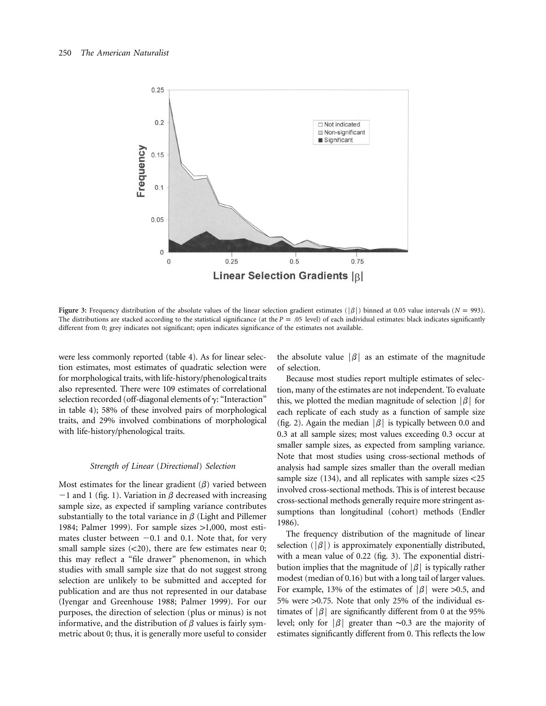

**Figure 3:** Frequency distribution of the absolute values of the linear selection gradient estimates ( $\beta$ ) binned at 0.05 value intervals ( $N = 993$ ). The distributions are stacked according to the statistical significance (at the  $P = .05$  level) of each individual estimates: black indicates significantly different from 0; grey indicates not significant; open indicates significance of the estimates not available.

were less commonly reported (table 4). As for linear selection estimates, most estimates of quadratic selection were for morphological traits, with life-history/phenological traits also represented. There were 109 estimates of correlational selection recorded (off-diagonal elements of  $\gamma$ : "Interaction" in table 4); 58% of these involved pairs of morphological traits, and 29% involved combinations of morphological with life-history/phenological traits.

## *Strength of Linear* (*Directional*) *Selection*

Most estimates for the linear gradient  $(\beta)$  varied between  $-1$  and 1 (fig. 1). Variation in  $\beta$  decreased with increasing sample size, as expected if sampling variance contributes substantially to the total variance in  $\beta$  (Light and Pillemer 1984; Palmer 1999). For sample sizes  $>1,000$ , most estimates cluster between  $-0.1$  and 0.1. Note that, for very small sample sizes  $( $20$ ), there are few estimates near 0;$ this may reflect a "file drawer" phenomenon, in which studies with small sample size that do not suggest strong selection are unlikely to be submitted and accepted for publication and are thus not represented in our database (Iyengar and Greenhouse 1988; Palmer 1999). For our purposes, the direction of selection (plus or minus) is not informative, and the distribution of  $\beta$  values is fairly symmetric about 0; thus, it is generally more useful to consider

the absolute value  $|\beta|$  as an estimate of the magnitude of selection.

Because most studies report multiple estimates of selection, many of the estimates are not independent. To evaluate this, we plotted the median magnitude of selection  $|\beta|$  for each replicate of each study as a function of sample size (fig. 2). Again the median  $|\beta|$  is typically between 0.0 and 0.3 at all sample sizes; most values exceeding 0.3 occur at smaller sample sizes, as expected from sampling variance. Note that most studies using cross-sectional methods of analysis had sample sizes smaller than the overall median sample size  $(134)$ , and all replicates with sample sizes <25 involved cross-sectional methods. This is of interest because cross-sectional methods generally require more stringent assumptions than longitudinal (cohort) methods (Endler 1986).

The frequency distribution of the magnitude of linear selection ( $|\beta|$ ) is approximately exponentially distributed, with a mean value of 0.22 (fig. 3). The exponential distribution implies that the magnitude of  $|\beta|$  is typically rather modest (median of 0.16) but with a long tail of larger values. For example, 13% of the estimates of  $|\beta|$  were >0.5, and 5% were  $>0.75$ . Note that only 25% of the individual estimates of  $|\beta|$  are significantly different from 0 at the 95% level; only for  $\vert \beta \vert$  greater than ∼0.3 are the majority of estimates significantly different from 0. This reflects the low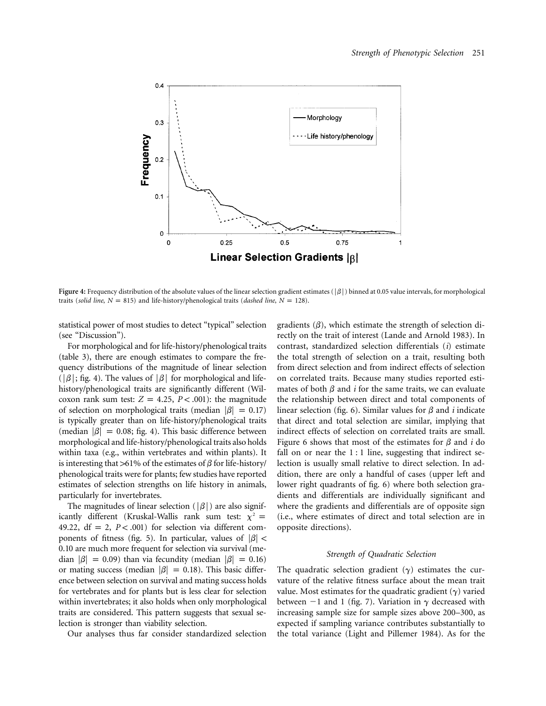

**Figure 4:** Frequency distribution of the absolute values of the linear selection gradient estimates ( $|\beta|$ ) binned at 0.05 value intervals, for morphological traits (*solid line*,  $N = 815$ ) and life-history/phenological traits (*dashed line*,  $N = 128$ ).

statistical power of most studies to detect "typical" selection (see "Discussion").

For morphological and for life-history/phenological traits (table 3), there are enough estimates to compare the frequency distributions of the magnitude of linear selection  $(|\beta|;$  fig. 4). The values of  $|\beta|$  for morphological and lifehistory/phenological traits are significantly different (Wilcoxon rank sum test:  $Z = 4.25$ ,  $P < .001$ ): the magnitude of selection on morphological traits (median  $|\beta| = 0.17$ ) is typically greater than on life-history/phenological traits (median  $|\beta| = 0.08$ ; fig. 4). This basic difference between morphological and life-history/phenological traits also holds within taxa (e.g., within vertebrates and within plants). It is interesting that  $>61\%$  of the estimates of  $\beta$  for life-history/ phenological traits were for plants; few studies have reported estimates of selection strengths on life history in animals, particularly for invertebrates.

The magnitudes of linear selection ( $|\beta|$ ) are also significantly different (Kruskal-Wallis rank sum test:  $\chi^2$  = 49.22,  $df = 2$ ,  $P < .001$ ) for selection via different components of fitness (fig. 5). In particular, values of  $|\beta|$  < 0.10 are much more frequent for selection via survival (median  $|\beta| = 0.09$ ) than via fecundity (median  $|\beta| = 0.16$ ) or mating success (median  $|\beta| = 0.18$ ). This basic difference between selection on survival and mating success holds for vertebrates and for plants but is less clear for selection within invertebrates; it also holds when only morphological traits are considered. This pattern suggests that sexual selection is stronger than viability selection.

Our analyses thus far consider standardized selection

gradients  $(\beta)$ , which estimate the strength of selection directly on the trait of interest (Lande and Arnold 1983). In contrast, standardized selection differentials (*i*) estimate the total strength of selection on a trait, resulting both from direct selection and from indirect effects of selection on correlated traits. Because many studies reported estimates of both  $\beta$  and *i* for the same traits, we can evaluate the relationship between direct and total components of linear selection (fig. 6). Similar values for  $\beta$  and *i* indicate that direct and total selection are similar, implying that indirect effects of selection on correlated traits are small. Figure 6 shows that most of the estimates for  $\beta$  and *i* do fall on or near the  $1:1$  line, suggesting that indirect selection is usually small relative to direct selection. In addition, there are only a handful of cases (upper left and lower right quadrants of fig. 6) where both selection gradients and differentials are individually significant and where the gradients and differentials are of opposite sign (i.e., where estimates of direct and total selection are in opposite directions).

# *Strength of Quadratic Selection*

The quadratic selection gradient  $(\gamma)$  estimates the curvature of the relative fitness surface about the mean trait value. Most estimates for the quadratic gradient  $(\gamma)$  varied between  $-1$  and 1 (fig. 7). Variation in  $\gamma$  decreased with increasing sample size for sample sizes above 200–300, as expected if sampling variance contributes substantially to the total variance (Light and Pillemer 1984). As for the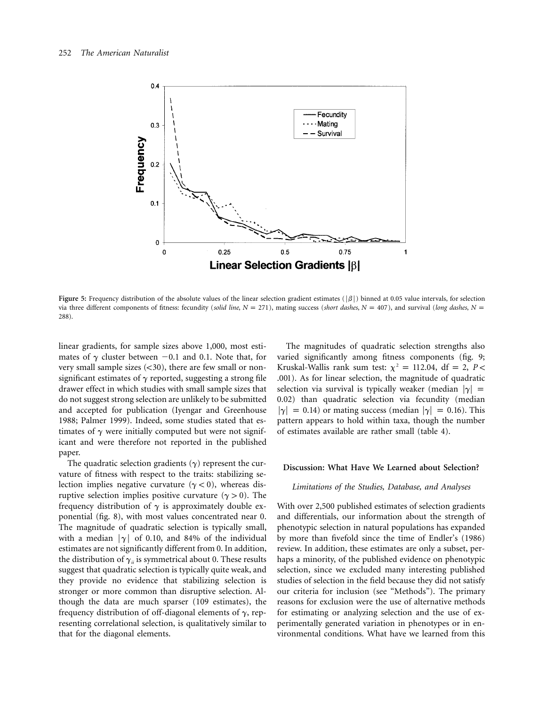

**Figure 5:** Frequency distribution of the absolute values of the linear selection gradient estimates ( $|\beta|$ ) binned at 0.05 value intervals, for selection via three different components of fitness: fecundity (*solid line*,  $N = 271$ ), mating success (*short dashes*,  $N = 407$ ), and survival (*long dashes*,  $N =$ 288).

linear gradients, for sample sizes above 1,000, most estimates of  $\gamma$  cluster between -0.1 and 0.1. Note that, for very small sample sizes  $( $30$ ), there are few small or non$ significant estimates of  $\gamma$  reported, suggesting a strong file drawer effect in which studies with small sample sizes that do not suggest strong selection are unlikely to be submitted and accepted for publication (Iyengar and Greenhouse 1988; Palmer 1999). Indeed, some studies stated that estimates of  $\gamma$  were initially computed but were not significant and were therefore not reported in the published paper.

The quadratic selection gradients  $(\gamma)$  represent the curvature of fitness with respect to the traits: stabilizing selection implies negative curvature  $(\gamma < 0)$ , whereas disruptive selection implies positive curvature ( $\gamma > 0$ ). The frequency distribution of  $\gamma$  is approximately double exponential (fig. 8), with most values concentrated near 0. The magnitude of quadratic selection is typically small, with a median  $|\gamma|$  of 0.10, and 84% of the individual estimates are not significantly different from 0. In addition, the distribution of  $\gamma_{ii}$  is symmetrical about 0. These results suggest that quadratic selection is typically quite weak, and they provide no evidence that stabilizing selection is stronger or more common than disruptive selection. Although the data are much sparser (109 estimates), the frequency distribution of off-diagonal elements of  $\gamma$ , representing correlational selection, is qualitatively similar to that for the diagonal elements.

The magnitudes of quadratic selection strengths also varied significantly among fitness components (fig. 9; Kruskal-Wallis rank sum test:  $\chi^2 = 112.04$ , df = 2, P < .001). As for linear selection, the magnitude of quadratic selection via survival is typically weaker (median  $|\gamma|$  = 0.02) than quadratic selection via fecundity (median  $|\gamma| = 0.14$ ) or mating success (median  $|\gamma| = 0.16$ ). This pattern appears to hold within taxa, though the number of estimates available are rather small (table 4).

#### **Discussion: What Have We Learned about Selection?**

### *Limitations of the Studies, Database, and Analyses*

With over 2,500 published estimates of selection gradients and differentials, our information about the strength of phenotypic selection in natural populations has expanded by more than fivefold since the time of Endler's (1986) review. In addition, these estimates are only a subset, perhaps a minority, of the published evidence on phenotypic selection, since we excluded many interesting published studies of selection in the field because they did not satisfy our criteria for inclusion (see "Methods"). The primary reasons for exclusion were the use of alternative methods for estimating or analyzing selection and the use of experimentally generated variation in phenotypes or in environmental conditions. What have we learned from this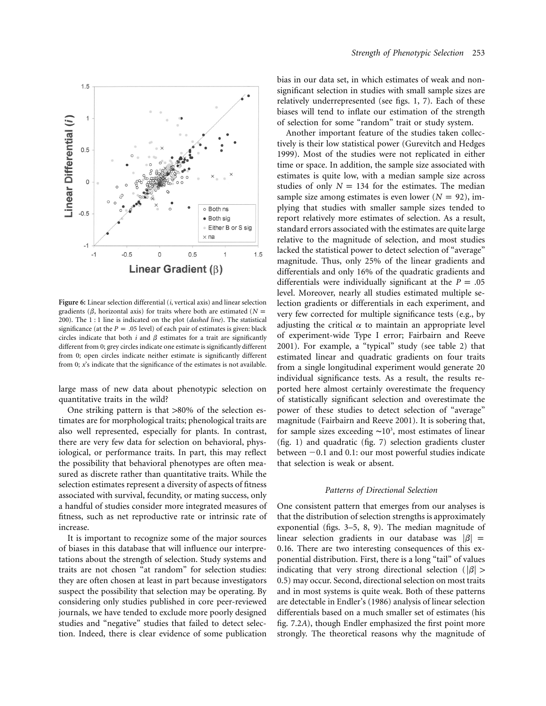

**Figure 6:** Linear selection differential (*i*, vertical axis) and linear selection gradients ( $\beta$ , horizontal axis) for traits where both are estimated ( $N =$ 200). The 1 : 1 line is indicated on the plot (*dashed line*). The statistical significance (at the  $P = .05$  level) of each pair of estimates is given: black circles indicate that both  $i$  and  $\beta$  estimates for a trait are significantly different from 0; grey circles indicate one estimate is significantly different from 0; open circles indicate neither estimate is significantly different from 0; *x*'s indicate that the significance of the estimates is not available.

large mass of new data about phenotypic selection on quantitative traits in the wild?

One striking pattern is that  $>80\%$  of the selection estimates are for morphological traits; phenological traits are also well represented, especially for plants. In contrast, there are very few data for selection on behavioral, physiological, or performance traits. In part, this may reflect the possibility that behavioral phenotypes are often measured as discrete rather than quantitative traits. While the selection estimates represent a diversity of aspects of fitness associated with survival, fecundity, or mating success, only a handful of studies consider more integrated measures of fitness, such as net reproductive rate or intrinsic rate of increase.

It is important to recognize some of the major sources of biases in this database that will influence our interpretations about the strength of selection. Study systems and traits are not chosen "at random" for selection studies: they are often chosen at least in part because investigators suspect the possibility that selection may be operating. By considering only studies published in core peer-reviewed journals, we have tended to exclude more poorly designed studies and "negative" studies that failed to detect selection. Indeed, there is clear evidence of some publication

bias in our data set, in which estimates of weak and nonsignificant selection in studies with small sample sizes are relatively underrepresented (see figs. 1, 7). Each of these biases will tend to inflate our estimation of the strength of selection for some "random" trait or study system.

Another important feature of the studies taken collectively is their low statistical power (Gurevitch and Hedges 1999). Most of the studies were not replicated in either time or space. In addition, the sample size associated with estimates is quite low, with a median sample size across studies of only  $N = 134$  for the estimates. The median sample size among estimates is even lower  $(N = 92)$ , implying that studies with smaller sample sizes tended to report relatively more estimates of selection. As a result, standard errors associated with the estimates are quite large relative to the magnitude of selection, and most studies lacked the statistical power to detect selection of "average" magnitude. Thus, only 25% of the linear gradients and differentials and only 16% of the quadratic gradients and differentials were individually significant at the  $P = .05$ level. Moreover, nearly all studies estimated multiple selection gradients or differentials in each experiment, and very few corrected for multiple significance tests (e.g., by adjusting the critical  $\alpha$  to maintain an appropriate level of experiment-wide Type I error; Fairbairn and Reeve 2001). For example, a "typical" study (see table 2) that estimated linear and quadratic gradients on four traits from a single longitudinal experiment would generate 20 individual significance tests. As a result, the results reported here almost certainly overestimate the frequency of statistically significant selection and overestimate the power of these studies to detect selection of "average" magnitude (Fairbairn and Reeve 2001). It is sobering that, for sample sizes exceeding ~10<sup>3</sup>, most estimates of linear (fig. 1) and quadratic (fig. 7) selection gradients cluster between  $-0.1$  and 0.1: our most powerful studies indicate that selection is weak or absent.

## *Patterns of Directional Selection*

One consistent pattern that emerges from our analyses is that the distribution of selection strengths is approximately exponential (figs. 3–5, 8, 9). The median magnitude of linear selection gradients in our database was  $|\beta|$  = 0.16. There are two interesting consequences of this exponential distribution. First, there is a long "tail" of values indicating that very strong directional selection ( $|\beta|$ ) 0.5) may occur. Second, directional selection on most traits and in most systems is quite weak. Both of these patterns are detectable in Endler's (1986) analysis of linear selection differentials based on a much smaller set of estimates (his fig. 7.2*A*), though Endler emphasized the first point more strongly. The theoretical reasons why the magnitude of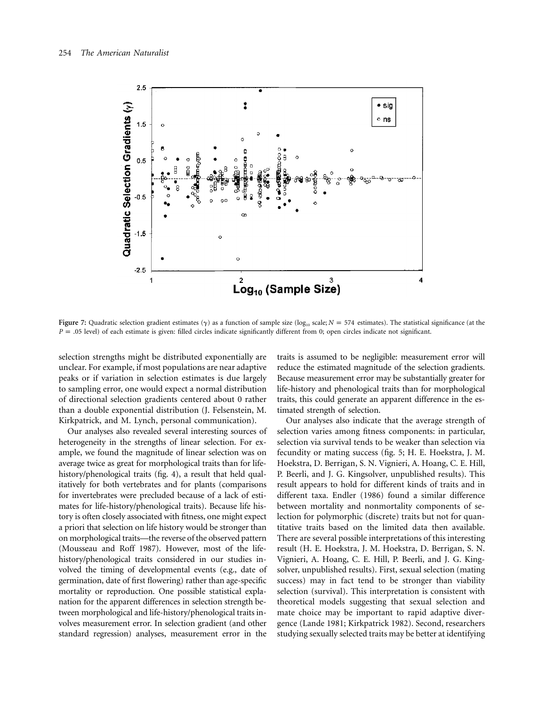

**Figure 7:** Quadratic selection gradient estimates ( $\gamma$ ) as a function of sample size (log<sub>10</sub> scale;  $N = 574$  estimates). The statistical significance (at the  $P = .05$  level) of each estimate is given: filled circles indicate significantly different from 0; open circles indicate not significant.

selection strengths might be distributed exponentially are unclear. For example, if most populations are near adaptive peaks or if variation in selection estimates is due largely to sampling error, one would expect a normal distribution of directional selection gradients centered about 0 rather than a double exponential distribution (J. Felsenstein, M. Kirkpatrick, and M. Lynch, personal communication).

Our analyses also revealed several interesting sources of heterogeneity in the strengths of linear selection. For example, we found the magnitude of linear selection was on average twice as great for morphological traits than for lifehistory/phenological traits (fig. 4), a result that held qualitatively for both vertebrates and for plants (comparisons for invertebrates were precluded because of a lack of estimates for life-history/phenological traits). Because life history is often closely associated with fitness, one might expect a priori that selection on life history would be stronger than on morphological traits—the reverse of the observed pattern (Mousseau and Roff 1987). However, most of the lifehistory/phenological traits considered in our studies involved the timing of developmental events (e.g., date of germination, date of first flowering) rather than age-specific mortality or reproduction. One possible statistical explanation for the apparent differences in selection strength between morphological and life-history/phenological traits involves measurement error. In selection gradient (and other standard regression) analyses, measurement error in the traits is assumed to be negligible: measurement error will reduce the estimated magnitude of the selection gradients. Because measurement error may be substantially greater for life-history and phenological traits than for morphological traits, this could generate an apparent difference in the estimated strength of selection.

Our analyses also indicate that the average strength of selection varies among fitness components: in particular, selection via survival tends to be weaker than selection via fecundity or mating success (fig. 5; H. E. Hoekstra, J. M. Hoekstra, D. Berrigan, S. N. Vignieri, A. Hoang, C. E. Hill, P. Beerli, and J. G. Kingsolver, unpublished results). This result appears to hold for different kinds of traits and in different taxa. Endler (1986) found a similar difference between mortality and nonmortality components of selection for polymorphic (discrete) traits but not for quantitative traits based on the limited data then available. There are several possible interpretations of this interesting result (H. E. Hoekstra, J. M. Hoekstra, D. Berrigan, S. N. Vignieri, A. Hoang, C. E. Hill, P. Beerli, and J. G. Kingsolver, unpublished results). First, sexual selection (mating success) may in fact tend to be stronger than viability selection (survival). This interpretation is consistent with theoretical models suggesting that sexual selection and mate choice may be important to rapid adaptive divergence (Lande 1981; Kirkpatrick 1982). Second, researchers studying sexually selected traits may be better at identifying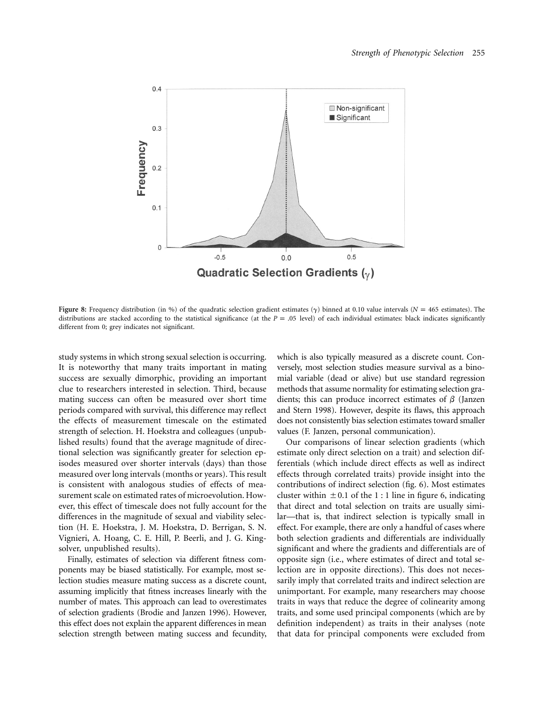

**Figure 8:** Frequency distribution (in %) of the quadratic selection gradient estimates ( $\gamma$ ) binned at 0.10 value intervals ( $N = 465$  estimates). The distributions are stacked according to the statistical significance (at the  $P = .05$  level) of each individual estimates: black indicates significantly different from 0; grey indicates not significant.

study systems in which strong sexual selection is occurring. It is noteworthy that many traits important in mating success are sexually dimorphic, providing an important clue to researchers interested in selection. Third, because mating success can often be measured over short time periods compared with survival, this difference may reflect the effects of measurement timescale on the estimated strength of selection. H. Hoekstra and colleagues (unpublished results) found that the average magnitude of directional selection was significantly greater for selection episodes measured over shorter intervals (days) than those measured over long intervals (months or years). This result is consistent with analogous studies of effects of measurement scale on estimated rates of microevolution. However, this effect of timescale does not fully account for the differences in the magnitude of sexual and viability selection (H. E. Hoekstra, J. M. Hoekstra, D. Berrigan, S. N. Vignieri, A. Hoang, C. E. Hill, P. Beerli, and J. G. Kingsolver, unpublished results).

Finally, estimates of selection via different fitness components may be biased statistically. For example, most selection studies measure mating success as a discrete count, assuming implicitly that fitness increases linearly with the number of mates. This approach can lead to overestimates of selection gradients (Brodie and Janzen 1996). However, this effect does not explain the apparent differences in mean selection strength between mating success and fecundity,

which is also typically measured as a discrete count. Conversely, most selection studies measure survival as a binomial variable (dead or alive) but use standard regression methods that assume normality for estimating selection gradients; this can produce incorrect estimates of  $\beta$  (Janzen and Stern 1998). However, despite its flaws, this approach does not consistently bias selection estimates toward smaller values (F. Janzen, personal communication).

Our comparisons of linear selection gradients (which estimate only direct selection on a trait) and selection differentials (which include direct effects as well as indirect effects through correlated traits) provide insight into the contributions of indirect selection (fig. 6). Most estimates cluster within  $\pm 0.1$  of the 1 : 1 line in figure 6, indicating that direct and total selection on traits are usually similar—that is, that indirect selection is typically small in effect. For example, there are only a handful of cases where both selection gradients and differentials are individually significant and where the gradients and differentials are of opposite sign (i.e., where estimates of direct and total selection are in opposite directions). This does not necessarily imply that correlated traits and indirect selection are unimportant. For example, many researchers may choose traits in ways that reduce the degree of colinearity among traits, and some used principal components (which are by definition independent) as traits in their analyses (note that data for principal components were excluded from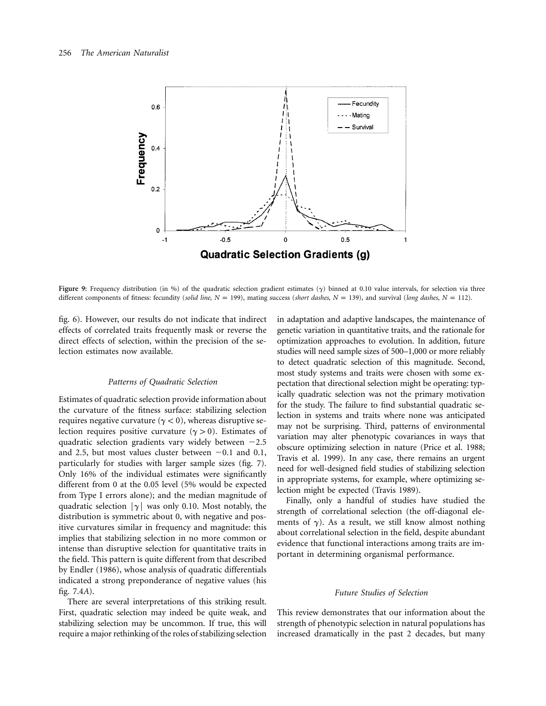

**Figure 9:** Frequency distribution (in %) of the quadratic selection gradient estimates  $(\gamma)$  binned at 0.10 value intervals, for selection via three different components of fitness: fecundity (*solid line*,  $N = 199$ ), mating success (*short dashes*,  $N = 139$ ), and survival (*long dashes*,  $N = 112$ ).

fig. 6). However, our results do not indicate that indirect effects of correlated traits frequently mask or reverse the direct effects of selection, within the precision of the selection estimates now available.

## *Patterns of Quadratic Selection*

Estimates of quadratic selection provide information about the curvature of the fitness surface: stabilizing selection requires negative curvature ( $\gamma$  < 0), whereas disruptive selection requires positive curvature ( $\gamma > 0$ ). Estimates of quadratic selection gradients vary widely between  $-2.5$ and 2.5, but most values cluster between  $-0.1$  and 0.1, particularly for studies with larger sample sizes (fig. 7). Only 16% of the individual estimates were significantly different from 0 at the 0.05 level (5% would be expected from Type I errors alone); and the median magnitude of quadratic selection  $|\gamma|$  was only 0.10. Most notably, the distribution is symmetric about 0, with negative and positive curvatures similar in frequency and magnitude: this implies that stabilizing selection in no more common or intense than disruptive selection for quantitative traits in the field. This pattern is quite different from that described by Endler (1986), whose analysis of quadratic differentials indicated a strong preponderance of negative values (his fig. 7.4*A*).

There are several interpretations of this striking result. First, quadratic selection may indeed be quite weak, and stabilizing selection may be uncommon. If true, this will require a major rethinking of the roles of stabilizing selection in adaptation and adaptive landscapes, the maintenance of genetic variation in quantitative traits, and the rationale for optimization approaches to evolution. In addition, future studies will need sample sizes of 500–1,000 or more reliably to detect quadratic selection of this magnitude. Second, most study systems and traits were chosen with some expectation that directional selection might be operating: typically quadratic selection was not the primary motivation for the study. The failure to find substantial quadratic selection in systems and traits where none was anticipated may not be surprising. Third, patterns of environmental variation may alter phenotypic covariances in ways that obscure optimizing selection in nature (Price et al. 1988; Travis et al. 1999). In any case, there remains an urgent need for well-designed field studies of stabilizing selection in appropriate systems, for example, where optimizing selection might be expected (Travis 1989).

Finally, only a handful of studies have studied the strength of correlational selection (the off-diagonal elements of  $\gamma$ ). As a result, we still know almost nothing about correlational selection in the field, despite abundant evidence that functional interactions among traits are important in determining organismal performance.

## *Future Studies of Selection*

This review demonstrates that our information about the strength of phenotypic selection in natural populations has increased dramatically in the past 2 decades, but many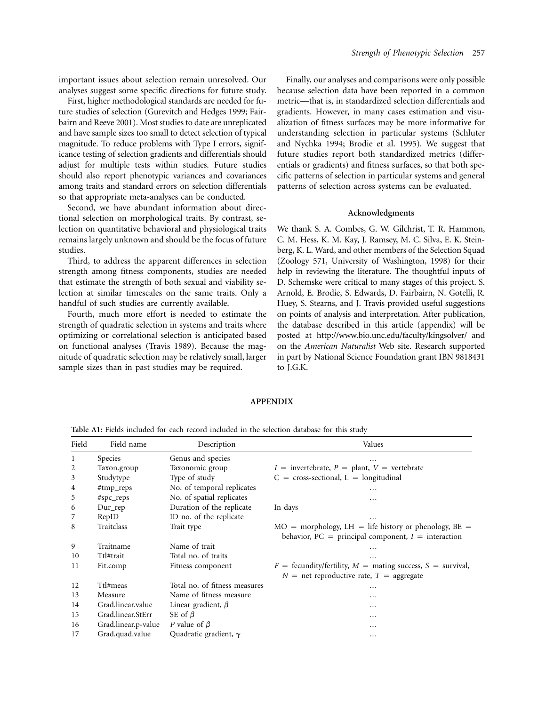First, higher methodological standards are needed for future studies of selection (Gurevitch and Hedges 1999; Fairbairn and Reeve 2001). Most studies to date are unreplicated and have sample sizes too small to detect selection of typical magnitude. To reduce problems with Type I errors, significance testing of selection gradients and differentials should adjust for multiple tests within studies. Future studies should also report phenotypic variances and covariances among traits and standard errors on selection differentials so that appropriate meta-analyses can be conducted.

Second, we have abundant information about directional selection on morphological traits. By contrast, selection on quantitative behavioral and physiological traits remains largely unknown and should be the focus of future studies.

Third, to address the apparent differences in selection strength among fitness components, studies are needed that estimate the strength of both sexual and viability selection at similar timescales on the same traits. Only a handful of such studies are currently available.

Fourth, much more effort is needed to estimate the strength of quadratic selection in systems and traits where optimizing or correlational selection is anticipated based on functional analyses (Travis 1989). Because the magnitude of quadratic selection may be relatively small, larger sample sizes than in past studies may be required.

Finally, our analyses and comparisons were only possible because selection data have been reported in a common metric—that is, in standardized selection differentials and gradients. However, in many cases estimation and visualization of fitness surfaces may be more informative for understanding selection in particular systems (Schluter and Nychka 1994; Brodie et al. 1995). We suggest that future studies report both standardized metrics (differentials or gradients) and fitness surfaces, so that both specific patterns of selection in particular systems and general patterns of selection across systems can be evaluated.

## **Acknowledgments**

We thank S. A. Combes, G. W. Gilchrist, T. R. Hammon, C. M. Hess, K. M. Kay, J. Ramsey, M. C. Silva, E. K. Steinberg, K. L. Ward, and other members of the Selection Squad (Zoology 571, University of Washington, 1998) for their help in reviewing the literature. The thoughtful inputs of D. Schemske were critical to many stages of this project. S. Arnold, E. Brodie, S. Edwards, D. Fairbairn, N. Gotelli, R. Huey, S. Stearns, and J. Travis provided useful suggestions on points of analysis and interpretation. After publication, the database described in this article (appendix) will be posted at http://www.bio.unc.edu/faculty/kingsolver/ and on the *American Naturalist* Web site. Research supported in part by National Science Foundation grant IBN 9818431 to J.G.K.

# **APPENDIX**

| Field | Field name          | Description                   | Values                                                                                                              |
|-------|---------------------|-------------------------------|---------------------------------------------------------------------------------------------------------------------|
| 1     | <b>Species</b>      | Genus and species             | $\cdots$                                                                                                            |
| 2     | Taxon.group         | Taxonomic group               | $I =$ invertebrate, $P =$ plant, $V =$ vertebrate                                                                   |
| 3     | Studytype           | Type of study                 | $C = cross-sectional, L = longitudinal$                                                                             |
| 4     | $#tmp\_reps$        | No. of temporal replicates    | $\cdots$                                                                                                            |
| 5     | $#$ spc_reps        | No. of spatial replicates     | .                                                                                                                   |
| 6     | Dur_rep             | Duration of the replicate     | In days                                                                                                             |
|       | RepID               | ID no. of the replicate       | .                                                                                                                   |
| 8     | Traitclass          | Trait type                    | $MO =$ morphology, LH = life history or phenology, BE =<br>behavior, $PC = principal component$ , $I = interaction$ |
| 9     | Traitname           | Name of trait                 | .                                                                                                                   |
| 10    | Ttl#trait           | Total no. of traits           | $\cdots$                                                                                                            |
| 11    | Fit.comp            | Fitness component             | $F =$ fecundity/fertility, $M =$ mating success, $S =$ survival,                                                    |
|       |                     |                               | $N =$ net reproductive rate, $T =$ aggregate                                                                        |
| 12    | Ttl#meas            | Total no. of fitness measures | $\cdots$                                                                                                            |
| 13    | Measure             | Name of fitness measure       | $\cdots$                                                                                                            |
| 14    | Grad.linear.value   | Linear gradient, $\beta$      | $\cdots$                                                                                                            |
| 15    | Grad.linear.StErr   | SE of $\beta$                 | $\cdots$                                                                                                            |
| 16    | Grad.linear.p-value | P value of $\beta$            | $\cdots$                                                                                                            |
| 17    | Grad.quad.value     | Quadratic gradient, $\gamma$  | $\cdots$                                                                                                            |

**Table A1:** Fields included for each record included in the selection database for this study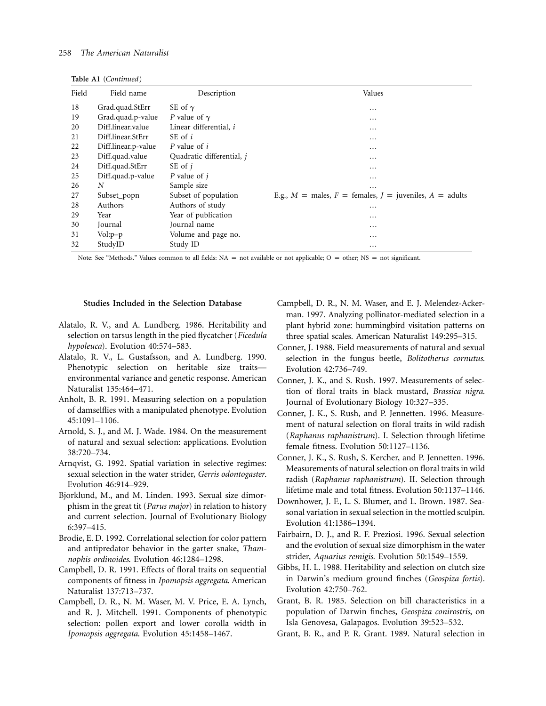**Table A1** (*Continued*)

| Field | Field name          | Description               | Values                                                          |
|-------|---------------------|---------------------------|-----------------------------------------------------------------|
| 18    | Grad.quad.StErr     | SE of $\gamma$            | $\cdots$                                                        |
| 19    | Grad.quad.p-value   | P value of $\gamma$       | $\cdots$                                                        |
| 20    | Diff.linear.value   | Linear differential, i    | $\cdots$                                                        |
| 21    | Diff.linear.StErr   | SE of $i$                 | $\cdots$                                                        |
| 22    | Diff.linear.p-value | P value of i              | $\cdots$                                                        |
| 23    | Diff.quad.value     | Quadratic differential, j | $\cdots$                                                        |
| 24    | Diff.quad.StErr     | SE of $i$                 | $\cdots$                                                        |
| 25    | Diff.quad.p-value   | P value of j              | $\cdots$                                                        |
| 26    | N                   | Sample size               | $\cdots$                                                        |
| 27    | Subset_popn         | Subset of population      | E.g., $M =$ males, $F =$ females, $I =$ juveniles, $A =$ adults |
| 28    | Authors             | Authors of study          | $\cdots$                                                        |
| 29    | Year                | Year of publication       | $\cdots$                                                        |
| 30    | Journal             | Journal name              | $\cdots$                                                        |
| 31    | $Vol: p-p$          | Volume and page no.       | $\cdots$                                                        |
| 32    | StudyID             | Study ID                  | $\cdots$                                                        |

Note: See "Methods." Values common to all fields:  $NA = not available or not applicable; O = other; NS = not significant.$ 

## **Studies Included in the Selection Database**

- Alatalo, R. V., and A. Lundberg. 1986. Heritability and selection on tarsus length in the pied flycatcher (*Ficedula hypoleuca*). Evolution 40:574–583.
- Alatalo, R. V., L. Gustafsson, and A. Lundberg. 1990. Phenotypic selection on heritable size traits environmental variance and genetic response. American Naturalist 135:464–471.
- Anholt, B. R. 1991. Measuring selection on a population of damselflies with a manipulated phenotype. Evolution 45:1091–1106.
- Arnold, S. J., and M. J. Wade. 1984. On the measurement of natural and sexual selection: applications. Evolution 38:720–734.
- Arnqvist, G. 1992. Spatial variation in selective regimes: sexual selection in the water strider, *Gerris odontogaster*. Evolution 46:914–929.
- Bjorklund, M., and M. Linden. 1993. Sexual size dimorphism in the great tit (*Parus major*) in relation to history and current selection. Journal of Evolutionary Biology 6:397–415.
- Brodie, E. D. 1992. Correlational selection for color pattern and antipredator behavior in the garter snake, *Thamnophis ordinoides*. Evolution 46:1284–1298.
- Campbell, D. R. 1991. Effects of floral traits on sequential components of fitness in *Ipomopsis aggregata*. American Naturalist 137:713–737.
- Campbell, D. R., N. M. Waser, M. V. Price, E. A. Lynch, and R. J. Mitchell. 1991. Components of phenotypic selection: pollen export and lower corolla width in *Ipomopsis aggregata*. Evolution 45:1458–1467.
- Campbell, D. R., N. M. Waser, and E. J. Melendez-Ackerman. 1997. Analyzing pollinator-mediated selection in a plant hybrid zone: hummingbird visitation patterns on three spatial scales. American Naturalist 149:295–315.
- Conner, J. 1988. Field measurements of natural and sexual selection in the fungus beetle, *Bolitotherus cornutus*. Evolution 42:736–749.
- Conner, J. K., and S. Rush. 1997. Measurements of selection of floral traits in black mustard, *Brassica nigra*. Journal of Evolutionary Biology 10:327–335.
- Conner, J. K., S. Rush, and P. Jennetten. 1996. Measurement of natural selection on floral traits in wild radish (*Raphanus raphanistrum*). I. Selection through lifetime female fitness. Evolution 50:1127–1136.
- Conner, J. K., S. Rush, S. Kercher, and P. Jennetten. 1996. Measurements of natural selection on floral traits in wild radish (*Raphanus raphanistrum*). II. Selection through lifetime male and total fitness. Evolution 50:1137–1146.
- Downhower, J. F., L. S. Blumer, and L. Brown. 1987. Seasonal variation in sexual selection in the mottled sculpin. Evolution 41:1386–1394.
- Fairbairn, D. J., and R. F. Preziosi. 1996. Sexual selection and the evolution of sexual size dimorphism in the water strider, *Aquarius remigis*. Evolution 50:1549–1559.
- Gibbs, H. L. 1988. Heritability and selection on clutch size in Darwin's medium ground finches (*Geospiza fortis*). Evolution 42:750–762.
- Grant, B. R. 1985. Selection on bill characteristics in a population of Darwin finches, *Geospiza conirostris*, on Isla Genovesa, Galapagos. Evolution 39:523–532.
- Grant, B. R., and P. R. Grant. 1989. Natural selection in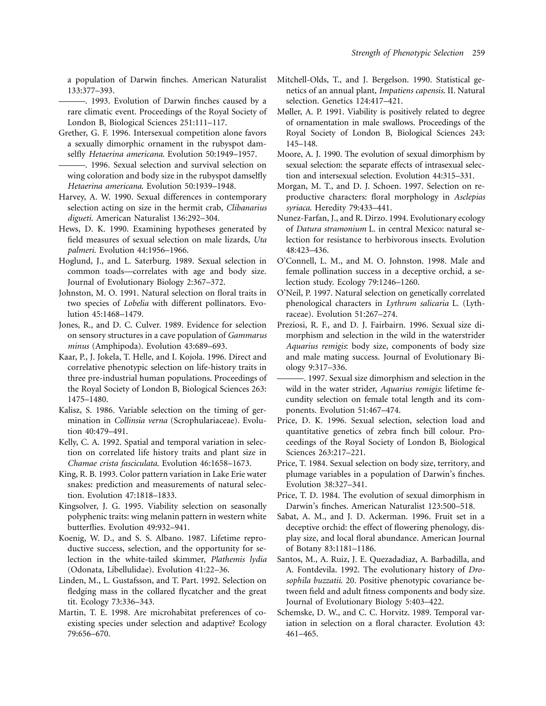a population of Darwin finches. American Naturalist 133:377–393.

———. 1993. Evolution of Darwin finches caused by a rare climatic event. Proceedings of the Royal Society of London B, Biological Sciences 251:111–117.

Grether, G. F. 1996. Intersexual competition alone favors a sexually dimorphic ornament in the rubyspot damselfly *Hetaerina americana*. Evolution 50:1949–1957.

———. 1996. Sexual selection and survival selection on wing coloration and body size in the rubyspot damselfly *Hetaerina americana*. Evolution 50:1939–1948.

Harvey, A. W. 1990. Sexual differences in contemporary selection acting on size in the hermit crab, *Clibanarius digueti*. American Naturalist 136:292–304.

Hews, D. K. 1990. Examining hypotheses generated by field measures of sexual selection on male lizards, *Uta palmeri*. Evolution 44:1956–1966.

Hoglund, J., and L. Saterburg. 1989. Sexual selection in common toads—correlates with age and body size. Journal of Evolutionary Biology 2:367–372.

Johnston, M. O. 1991. Natural selection on floral traits in two species of *Lobelia* with different pollinators. Evolution 45:1468–1479.

Jones, R., and D. C. Culver. 1989. Evidence for selection on sensory structures in a cave population of *Gammarus minus* (Amphipoda). Evolution 43:689–693.

Kaar, P., J. Jokela, T. Helle, and I. Kojola. 1996. Direct and correlative phenotypic selection on life-history traits in three pre-industrial human populations. Proceedings of the Royal Society of London B, Biological Sciences 263: 1475–1480.

Kalisz, S. 1986. Variable selection on the timing of germination in *Collinsia verna* (Scrophulariaceae). Evolution 40:479–491.

Kelly, C. A. 1992. Spatial and temporal variation in selection on correlated life history traits and plant size in *Chamae crista fasciculata*. Evolution 46:1658–1673.

King, R. B. 1993. Color pattern variation in Lake Erie water snakes: prediction and measurements of natural selection. Evolution 47:1818–1833.

Kingsolver, J. G. 1995. Viability selection on seasonally polyphenic traits: wing melanin pattern in western white butterflies. Evolution 49:932–941.

Koenig, W. D., and S. S. Albano. 1987. Lifetime reproductive success, selection, and the opportunity for selection in the white-tailed skimmer, *Plathemis lydia* (Odonata, Libellulidae). Evolution 41:22–36.

Linden, M., L. Gustafsson, and T. Part. 1992. Selection on fledging mass in the collared flycatcher and the great tit. Ecology 73:336–343.

Martin, T. E. 1998. Are microhabitat preferences of coexisting species under selection and adaptive? Ecology 79:656–670.

Mitchell-Olds, T., and J. Bergelson. 1990. Statistical genetics of an annual plant, *Impatiens capensis*. II. Natural selection. Genetics 124:417–421.

Møller, A. P. 1991. Viability is positively related to degree of ornamentation in male swallows. Proceedings of the Royal Society of London B, Biological Sciences 243: 145–148.

Moore, A. J. 1990. The evolution of sexual dimorphism by sexual selection: the separate effects of intrasexual selection and intersexual selection. Evolution 44:315–331.

Morgan, M. T., and D. J. Schoen. 1997. Selection on reproductive characters: floral morphology in *Asclepias syriaca*. Heredity 79:433–441.

Nunez-Farfan, J., and R. Dirzo. 1994. Evolutionary ecology of *Datura stramonium* L. in central Mexico: natural selection for resistance to herbivorous insects. Evolution 48:423–436.

O'Connell, L. M., and M. O. Johnston. 1998. Male and female pollination success in a deceptive orchid, a selection study. Ecology 79:1246–1260.

O'Neil, P. 1997. Natural selection on genetically correlated phenological characters in *Lythrum salicaria* L. (Lythraceae). Evolution 51:267–274.

Preziosi, R. F., and D. J. Fairbairn. 1996. Sexual size dimorphism and selection in the wild in the waterstrider *Aquarius remigis*: body size, components of body size and male mating success. Journal of Evolutionary Biology 9:317–336.

———. 1997. Sexual size dimorphism and selection in the wild in the water strider, *Aquarius remigis*: lifetime fecundity selection on female total length and its components. Evolution 51:467–474.

Price, D. K. 1996. Sexual selection, selection load and quantitative genetics of zebra finch bill colour. Proceedings of the Royal Society of London B, Biological Sciences 263:217–221.

Price, T. 1984. Sexual selection on body size, territory, and plumage variables in a population of Darwin's finches. Evolution 38:327–341.

Price, T. D. 1984. The evolution of sexual dimorphism in Darwin's finches. American Naturalist 123:500–518.

Sabat, A. M., and J. D. Ackerman. 1996. Fruit set in a deceptive orchid: the effect of flowering phenology, display size, and local floral abundance. American Journal of Botany 83:1181–1186.

Santos, M., A. Ruiz, J. E. Quezadadiaz, A. Barbadilla, and A. Fontdevila. 1992. The evolutionary history of *Drosophila buzzatii*. 20. Positive phenotypic covariance between field and adult fitness components and body size. Journal of Evolutionary Biology 5:403–422.

Schemske, D. W., and C. C. Horvitz. 1989. Temporal variation in selection on a floral character. Evolution 43: 461–465.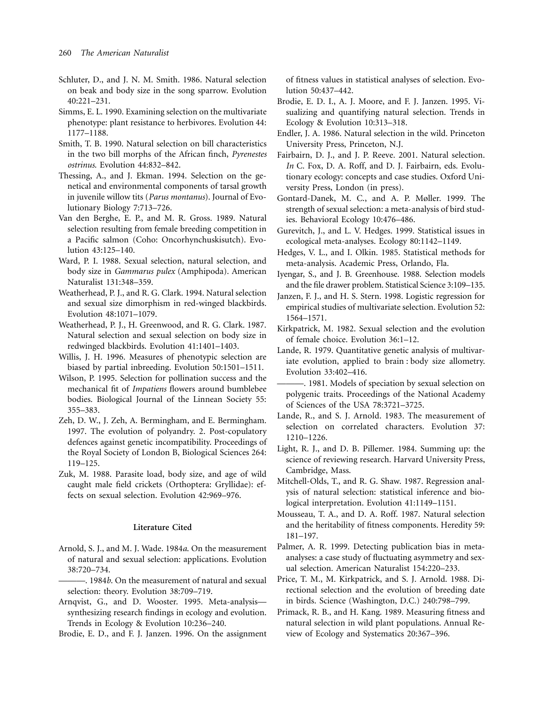- Schluter, D., and J. N. M. Smith. 1986. Natural selection on beak and body size in the song sparrow. Evolution 40:221–231.
- Simms, E. L. 1990. Examining selection on the multivariate phenotype: plant resistance to herbivores. Evolution 44: 1177–1188.
- Smith, T. B. 1990. Natural selection on bill characteristics in the two bill morphs of the African finch, *Pyrenestes ostrinus*. Evolution 44:832–842.
- Thessing, A., and J. Ekman. 1994. Selection on the genetical and environmental components of tarsal growth in juvenile willow tits (*Parus montanus*). Journal of Evolutionary Biology 7:713–726.
- Van den Berghe, E. P., and M. R. Gross. 1989. Natural selection resulting from female breeding competition in a Pacific salmon (Coho: Oncorhynchuskisutch). Evolution 43:125–140.
- Ward, P. I. 1988. Sexual selection, natural selection, and body size in *Gammarus pulex* (Amphipoda). American Naturalist 131:348–359.
- Weatherhead, P. J., and R. G. Clark. 1994. Natural selection and sexual size dimorphism in red-winged blackbirds. Evolution 48:1071–1079.
- Weatherhead, P. J., H. Greenwood, and R. G. Clark. 1987. Natural selection and sexual selection on body size in redwinged blackbirds. Evolution 41:1401–1403.
- Willis, J. H. 1996. Measures of phenotypic selection are biased by partial inbreeding. Evolution 50:1501–1511.
- Wilson, P. 1995. Selection for pollination success and the mechanical fit of *Impatiens* flowers around bumblebee bodies. Biological Journal of the Linnean Society 55: 355–383.
- Zeh, D. W., J. Zeh, A. Bermingham, and E. Bermingham. 1997. The evolution of polyandry. 2. Post-copulatory defences against genetic incompatibility. Proceedings of the Royal Society of London B, Biological Sciences 264: 119–125.
- Zuk, M. 1988. Parasite load, body size, and age of wild caught male field crickets (Orthoptera: Gryllidae): effects on sexual selection. Evolution 42:969–976.

## **Literature Cited**

- Arnold, S. J., and M. J. Wade. 1984*a*. On the measurement of natural and sexual selection: applications. Evolution 38:720–734.
- ———. 1984*b*. On the measurement of natural and sexual selection: theory. Evolution 38:709–719.
- Arnqvist, G., and D. Wooster. 1995. Meta-analysis synthesizing research findings in ecology and evolution. Trends in Ecology & Evolution 10:236–240.
- Brodie, E. D., and F. J. Janzen. 1996. On the assignment

of fitness values in statistical analyses of selection. Evolution 50:437–442.

- Brodie, E. D. I., A. J. Moore, and F. J. Janzen. 1995. Visualizing and quantifying natural selection. Trends in Ecology & Evolution 10:313–318.
- Endler, J. A. 1986. Natural selection in the wild. Princeton University Press, Princeton, N.J.
- Fairbairn, D. J., and J. P. Reeve. 2001. Natural selection. *In* C. Fox, D. A. Roff, and D. J. Fairbairn, eds. Evolutionary ecology: concepts and case studies. Oxford University Press, London (in press).
- Gontard-Danek, M. C., and A. P. Møller. 1999. The strength of sexual selection: a meta-analysis of bird studies. Behavioral Ecology 10:476–486.
- Gurevitch, J., and L. V. Hedges. 1999. Statistical issues in ecological meta-analyses. Ecology 80:1142–1149.
- Hedges, V. L., and I. Olkin. 1985. Statistical methods for meta-analysis. Academic Press, Orlando, Fla.
- Iyengar, S., and J. B. Greenhouse. 1988. Selection models and the file drawer problem. Statistical Science 3:109–135.
- Janzen, F. J., and H. S. Stern. 1998. Logistic regression for empirical studies of multivariate selection. Evolution 52: 1564–1571.
- Kirkpatrick, M. 1982. Sexual selection and the evolution of female choice. Evolution 36:1–12.
- Lande, R. 1979. Quantitative genetic analysis of multivariate evolution, applied to brain : body size allometry. Evolution 33:402–416.
- ———. 1981. Models of speciation by sexual selection on polygenic traits. Proceedings of the National Academy of Sciences of the USA 78:3721–3725.
- Lande, R., and S. J. Arnold. 1983. The measurement of selection on correlated characters. Evolution 37: 1210–1226.
- Light, R. J., and D. B. Pillemer. 1984. Summing up: the science of reviewing research. Harvard University Press, Cambridge, Mass.
- Mitchell-Olds, T., and R. G. Shaw. 1987. Regression analysis of natural selection: statistical inference and biological interpretation. Evolution 41:1149–1151.
- Mousseau, T. A., and D. A. Roff. 1987. Natural selection and the heritability of fitness components. Heredity 59: 181–197.
- Palmer, A. R. 1999. Detecting publication bias in metaanalyses: a case study of fluctuating asymmetry and sexual selection. American Naturalist 154:220–233.
- Price, T. M., M. Kirkpatrick, and S. J. Arnold. 1988. Directional selection and the evolution of breeding date in birds. Science (Washington, D.C.) 240:798–799.
- Primack, R. B., and H. Kang. 1989. Measuring fitness and natural selection in wild plant populations. Annual Review of Ecology and Systematics 20:367–396.